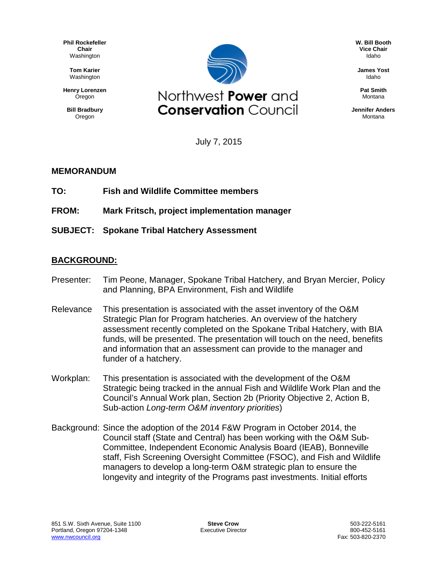**Phil Rockefeller Chair** Washington

> **Tom Karier** Washington

**Henry Lorenzen Oregon** 

**Bill Bradbury** Oregon



**W. Bill Booth Vice Chair** Idaho

**James Yost** Idaho

**Pat Smith** Montana

**Jennifer Anders** Montana

July 7, 2015

## **MEMORANDUM**

- **TO: Fish and Wildlife Committee members**
- **FROM: Mark Fritsch, project implementation manager**

**SUBJECT: Spokane Tribal Hatchery Assessment**

## **BACKGROUND:**

- Presenter: Tim Peone, Manager, Spokane Tribal Hatchery, and Bryan Mercier, Policy and Planning, BPA Environment, Fish and Wildlife
- Relevance This presentation is associated with the asset inventory of the O&M Strategic Plan for Program hatcheries. An overview of the hatchery assessment recently completed on the Spokane Tribal Hatchery, with BIA funds, will be presented. The presentation will touch on the need, benefits and information that an assessment can provide to the manager and funder of a hatchery.
- Workplan: This presentation is associated with the development of the O&M Strategic being tracked in the annual Fish and Wildlife Work Plan and the Council's Annual Work plan, Section 2b (Priority Objective 2, Action B, Sub-action *Long-term O&M inventory priorities*)
- Background: Since the adoption of the 2014 F&W Program in October 2014, the Council staff (State and Central) has been working with the O&M Sub-Committee, Independent Economic Analysis Board (IEAB), Bonneville staff, Fish Screening Oversight Committee (FSOC), and Fish and Wildlife managers to develop a long-term O&M strategic plan to ensure the longevity and integrity of the Programs past investments. Initial efforts